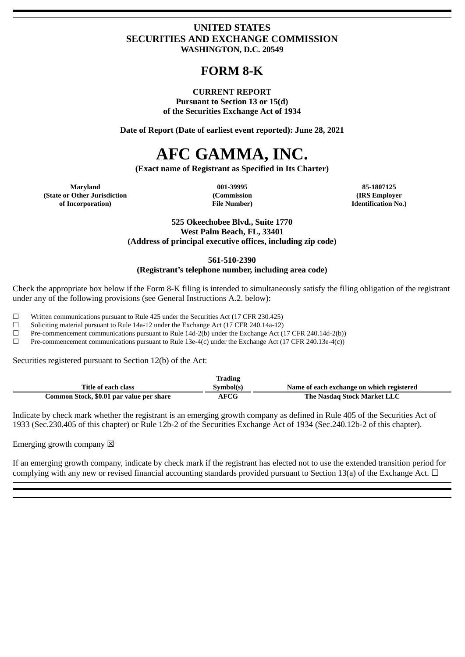# **UNITED STATES SECURITIES AND EXCHANGE COMMISSION WASHINGTON, D.C. 20549**

# **FORM 8-K**

#### **CURRENT REPORT**

**Pursuant to Section 13 or 15(d) of the Securities Exchange Act of 1934**

**Date of Report (Date of earliest event reported): June 28, 2021**

# **AFC GAMMA, INC.**

**(Exact name of Registrant as Specified in Its Charter)**

**Maryland 001-39995 85-1807125 (State or Other Jurisdiction of Incorporation)**

**(Commission File Number)**

**(IRS Employer Identification No.)**

**525 Okeechobee Blvd., Suite 1770 West Palm Beach, FL, 33401 (Address of principal executive offices, including zip code)**

**561-510-2390**

# **(Registrant's telephone number, including area code)**

Check the appropriate box below if the Form 8-K filing is intended to simultaneously satisfy the filing obligation of the registrant under any of the following provisions (see General Instructions A.2. below):

☐ Written communications pursuant to Rule 425 under the Securities Act (17 CFR 230.425)

☐ Soliciting material pursuant to Rule 14a-12 under the Exchange Act (17 CFR 240.14a-12)

 $□$  Pre-commencement communications pursuant to Rule 14d-2(b) under the Exchange Act (17 CFR 240.14d-2(b))

 $□$  Pre-commencement communications pursuant to Rule 13e-4(c) under the Exchange Act (17 CFR 240.13e-4(c))

Securities registered pursuant to Section 12(b) of the Act:

|                                          | Trading     |                                           |
|------------------------------------------|-------------|-------------------------------------------|
| Title of each class                      | Symbol(s)   | Name of each exchange on which registered |
| Common Stock, \$0.01 par value per share | <b>AFCG</b> | The Nasdag Stock Market LLC               |

Indicate by check mark whether the registrant is an emerging growth company as defined in Rule 405 of the Securities Act of 1933 (Sec.230.405 of this chapter) or Rule 12b-2 of the Securities Exchange Act of 1934 (Sec.240.12b-2 of this chapter).

Emerging growth company  $\boxtimes$ 

If an emerging growth company, indicate by check mark if the registrant has elected not to use the extended transition period for complying with any new or revised financial accounting standards provided pursuant to Section 13(a) of the Exchange Act.  $\Box$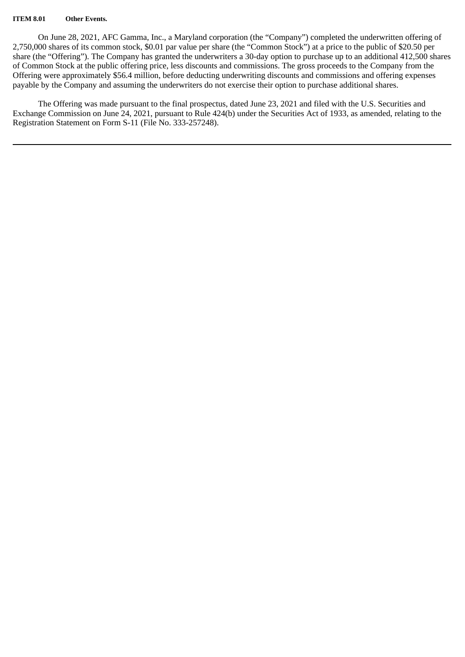#### **ITEM 8.01 Other Events.**

On June 28, 2021, AFC Gamma, Inc., a Maryland corporation (the "Company") completed the underwritten offering of 2,750,000 shares of its common stock, \$0.01 par value per share (the "Common Stock") at a price to the public of \$20.50 per share (the "Offering"). The Company has granted the underwriters a 30-day option to purchase up to an additional 412,500 shares of Common Stock at the public offering price, less discounts and commissions. The gross proceeds to the Company from the Offering were approximately \$56.4 million, before deducting underwriting discounts and commissions and offering expenses payable by the Company and assuming the underwriters do not exercise their option to purchase additional shares.

The Offering was made pursuant to the final prospectus, dated June 23, 2021 and filed with the U.S. Securities and Exchange Commission on June 24, 2021, pursuant to Rule 424(b) under the Securities Act of 1933, as amended, relating to the Registration Statement on Form S-11 (File No. 333-257248).